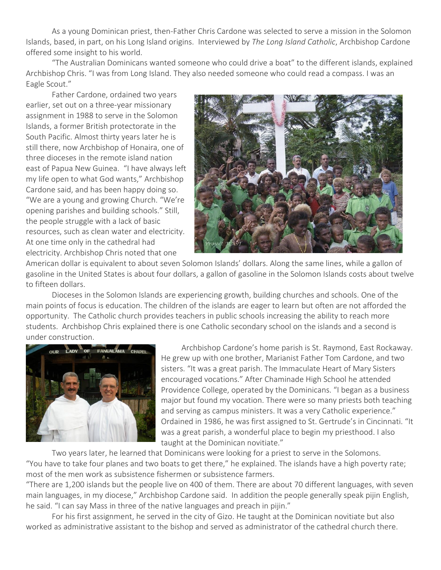As a young Dominican priest, then-Father Chris Cardone was selected to serve a mission in the Solomon Islands, based, in part, on his Long Island origins. Interviewed by *The Long Island Catholic*, Archbishop Cardone offered some insight to his world.

"The Australian Dominicans wanted someone who could drive a boat" to the different islands, explained Archbishop Chris. "I was from Long Island. They also needed someone who could read a compass. I was an Eagle Scout."

Father Cardone, ordained two years earlier, set out on a three-year missionary assignment in 1988 to serve in the Solomon Islands, a former British protectorate in the South Pacific. Almost thirty years later he is still there, now Archbishop of Honaira, one of three dioceses in the remote island nation east of Papua New Guinea. "I have always left my life open to what God wants," Archbishop Cardone said, and has been happy doing so. "We are a young and growing Church. "We're opening parishes and building schools." Still, the people struggle with a lack of basic resources, such as clean water and electricity. At one time only in the cathedral had electricity. Archbishop Chris noted that one



American dollar is equivalent to about seven Solomon Islands' dollars. Along the same lines, while a gallon of gasoline in the United States is about four dollars, a gallon of gasoline in the Solomon Islands costs about twelve to fifteen dollars.

Dioceses in the Solomon Islands are experiencing growth, building churches and schools. One of the main points of focus is education. The children of the islands are eager to learn but often are not afforded the opportunity. The Catholic church provides teachers in public schools increasing the ability to reach more students. Archbishop Chris explained there is one Catholic secondary school on the islands and a second is under construction.



Archbishop Cardone's home parish is St. Raymond, East Rockaway. He grew up with one brother, Marianist Father Tom Cardone, and two sisters. "It was a great parish. The Immaculate Heart of Mary Sisters encouraged vocations." After Chaminade High School he attended Providence College, operated by the Dominicans. "I began as a business major but found my vocation. There were so many priests both teaching and serving as campus ministers. It was a very Catholic experience." Ordained in 1986, he was first assigned to St. Gertrude's in Cincinnati. "It was a great parish, a wonderful place to begin my priesthood. I also taught at the Dominican novitiate."

Two years later, he learned that Dominicans were looking for a priest to serve in the Solomons. "You have to take four planes and two boats to get there," he explained. The islands have a high poverty rate; most of the men work as subsistence fishermen or subsistence farmers.

"There are 1,200 islands but the people live on 400 of them. There are about 70 different languages, with seven main languages, in my diocese," Archbishop Cardone said. In addition the people generally speak pijin English, he said. "I can say Mass in three of the native languages and preach in pijin."

For his first assignment, he served in the city of Gizo. He taught at the Dominican novitiate but also worked as administrative assistant to the bishop and served as administrator of the cathedral church there.